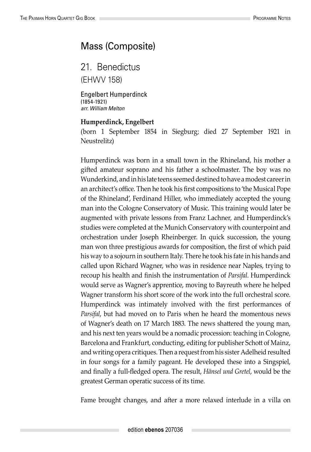## Mass (Composite)

21. Benedictus (EHWV 158)

Engelbert Humperdinck (1854-1921) *arr. William Melton*

## **Humperdinck, Engelbert**

(born 1 September 1854 in Siegburg; died 27 September 1921 in Neustrelitz)

Humperdinck was born in a small town in the Rhineland, his mother a gifted amateur soprano and his father a schoolmaster. The boy was no Wunderkind, and in his late teens seemed destined to have a modest career in an architect's office. Then he took his first compositions to 'the Musical Pope of the Rhineland', Ferdinand Hiller, who immediately accepted the young man into the Cologne Conservatory of Music. This training would later be augmented with private lessons from Franz Lachner, and Humperdinck's studies were completed at the Munich Conservatory with counterpoint and orchestration under Joseph Rheinberger. In quick succession, the young man won three prestigious awards for composition, the first of which paid his way to a sojourn in southern Italy. There he took his fate in his hands and called upon Richard Wagner, who was in residence near Naples, trying to recoup his health and finish the instrumentation of *Parsifal*. Humperdinck would serve as Wagner's apprentice, moving to Bayreuth where he helped Wagner transform his short score of the work into the full orchestral score. Humperdinck was intimately involved with the first performances of *Parsifal*, but had moved on to Paris when he heard the momentous news of Wagner's death on 17 March 1883. The news shattered the young man, and his next ten years would be a nomadic procession: teaching in Cologne, Barcelona and Frankfurt, conducting, editing for publisher Schott of Mainz, and writing opera critiques. Then a request from his sister Adelheid resulted in four songs for a family pageant. He developed these into a Singspiel, and finally a full-fledged opera. The result, *Hänsel und Gretel*, would be the greatest German operatic success of its time.

Fame brought changes, and after a more relaxed interlude in a villa on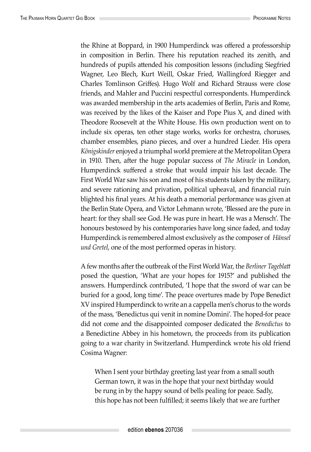the Rhine at Boppard, in 1900 Humperdinck was offered a professorship in composition in Berlin. There his reputation reached its zenith, and hundreds of pupils attended his composition lessons (including Siegfried Wagner, Leo Blech, Kurt Weill, Oskar Fried, Wallingford Riegger and Charles Tomlinson Griffes). Hugo Wolf and Richard Strauss were close friends, and Mahler and Puccini respectful correspondents. Humperdinck was awarded membership in the arts academies of Berlin, Paris and Rome, was received by the likes of the Kaiser and Pope Pius X, and dined with Theodore Roosevelt at the White House. His own production went on to include six operas, ten other stage works, works for orchestra, choruses, chamber ensembles, piano pieces, and over a hundred Lieder. His opera *Königskinder* enjoyed a triumphal world premiere at the Metropolitan Opera in 1910. Then, after the huge popular success of *The Miracle* in London, Humperdinck suffered a stroke that would impair his last decade. The First World War saw his son and most of his students taken by the military, and severe rationing and privation, political upheaval, and financial ruin blighted his final years. At his death a memorial performance was given at the Berlin State Opera, and Victor Lehmann wrote, 'Blessed are the pure in heart: for they shall see God. He was pure in heart. He was a Mensch'. The honours bestowed by his contemporaries have long since faded, and today Humperdinck is remembered almost exclusively as the composer of *Hänsel und Gretel*, one of the most performed operas in history.

A few months after the outbreak of the First World War, the *Berliner Tageblatt* posed the question, 'What are your hopes for 1915?' and published the answers. Humperdinck contributed, 'I hope that the sword of war can be buried for a good, long time'. The peace overtures made by Pope Benedict XV inspired Humperdinck to write an a cappella men's chorus to the words of the mass, 'Benedictus qui venit in nomine Domini'. The hoped-for peace did not come and the disappointed composer dedicated the *Benedictus* to a Benedictine Abbey in his hometown, the proceeds from its publication going to a war charity in Switzerland. Humperdinck wrote his old friend Cosima Wagner:

When I sent your birthday greeting last year from a small south German town, it was in the hope that your next birthday would be rung in by the happy sound of bells pealing for peace. Sadly, this hope has not been fulfilled; it seems likely that we are further